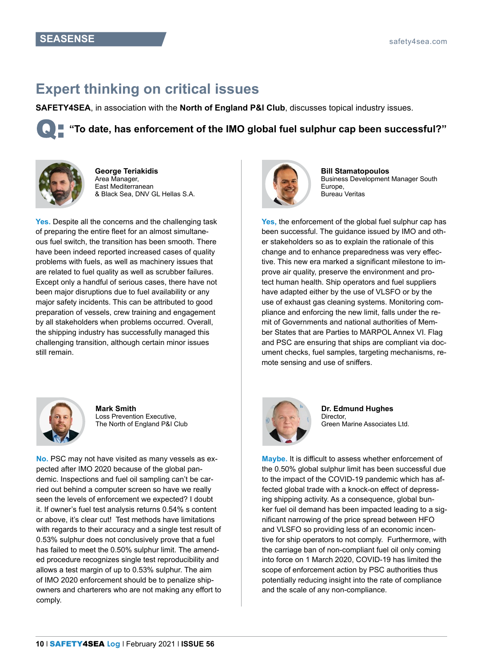## **Expert thinking on critical issues**

**SAFETY4SEA**, in association with the **North of England P&I Club**, discusses topical industry issues.





**George Teriakidis** Area Manager, East Mediterranean & Black Sea, DNV GL Hellas S.A.

Yes. Despite all the concerns and the challenging task of preparing the entire fleet for an almost simultaneous fuel switch, the transition has been smooth. There have been indeed reported increased cases of quality problems with fuels, as well as machinery issues that are related to fuel quality as well as scrubber failures. Except only a handful of serious cases, there have not been major disruptions due to fuel availability or any major safety incidents. This can be attributed to good preparation of vessels, crew training and engagement by all stakeholders when problems occurred. Overall, the shipping industry has successfully managed this challenging transition, although certain minor issues still remain.



**Mark Smith** Loss Prevention Executive, The North of England P&I Club

**No.** PSC may not have visited as many vessels as expected after IMO 2020 because of the global pandemic. Inspections and fuel oil sampling can't be carried out behind a computer screen so have we really seen the levels of enforcement we expected? I doubt it. If owner's fuel test analysis returns 0.54% s content or above, it's clear cut! Test methods have limitations with regards to their accuracy and a single test result of 0.53% sulphur does not conclusively prove that a fuel has failed to meet the 0.50% sulphur limit. The amended procedure recognizes single test reproducibility and allows a test margin of up to 0.53% sulphur. The aim of IMO 2020 enforcement should be to penalize shipowners and charterers who are not making any effort to comply.



**Bill Stamatopoulos** Business Development Manager South Europe, Bureau Veritas

**Yes,** the enforcement of the global fuel sulphur cap has been successful. The guidance issued by IMO and other stakeholders so as to explain the rationale of this change and to enhance preparedness was very effective. This new era marked a significant milestone to improve air quality, preserve the environment and protect human health. Ship operators and fuel suppliers have adapted either by the use of VLSFO or by the use of exhaust gas cleaning systems. Monitoring compliance and enforcing the new limit, falls under the remit of Governments and national authorities of Member States that are Parties to MARPOL Annex VI. Flag and PSC are ensuring that ships are compliant via document checks, fuel samples, targeting mechanisms, remote sensing and use of sniffers.



**Dr. Edmund Hughes** Director, Green Marine Associates Ltd.

**Maybe.** It is difficult to assess whether enforcement of the 0.50% global sulphur limit has been successful due to the impact of the COVID-19 pandemic which has affected global trade with a knock-on effect of depressing shipping activity. As a consequence, global bunker fuel oil demand has been impacted leading to a significant narrowing of the price spread between HFO and VLSFO so providing less of an economic incentive for ship operators to not comply. Furthermore, with the carriage ban of non-compliant fuel oil only coming into force on 1 March 2020, COVID-19 has limited the scope of enforcement action by PSC authorities thus potentially reducing insight into the rate of compliance and the scale of any non-compliance.